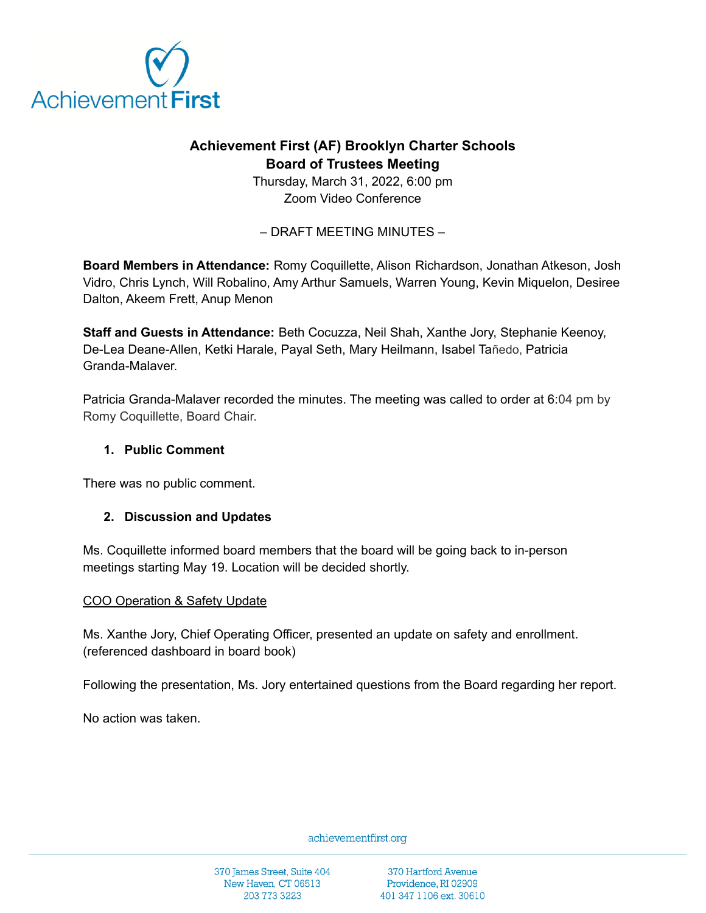

# **Achievement First (AF) Brooklyn Charter Schools Board of Trustees Meeting**

Thursday, March 31, 2022, 6:00 pm Zoom Video Conference

– DRAFT MEETING MINUTES –

**Board Members in Attendance:** Romy Coquillette, Alison Richardson, Jonathan Atkeson, Josh Vidro, Chris Lynch, Will Robalino, Amy Arthur Samuels, Warren Young, Kevin Miquelon, Desiree Dalton, Akeem Frett, Anup Menon

**Staff and Guests in Attendance:** Beth Cocuzza, Neil Shah, Xanthe Jory, Stephanie Keenoy, De-Lea Deane-Allen, Ketki Harale, Payal Seth, Mary Heilmann, Isabel Tañedo, Patricia Granda-Malaver.

Patricia Granda-Malaver recorded the minutes. The meeting was called to order at 6:04 pm by Romy Coquillette, Board Chair.

## **1. Public Comment**

There was no public comment.

# **2. Discussion and Updates**

Ms. Coquillette informed board members that the board will be going back to in-person meetings starting May 19. Location will be decided shortly.

### COO Operation & Safety Update

Ms. Xanthe Jory, Chief Operating Officer, presented an update on safety and enrollment. (referenced dashboard in board book)

Following the presentation, Ms. Jory entertained questions from the Board regarding her report.

No action was taken.

achievementfirst.org

370 James Street, Suite 404 New Haven, CT 06513 203 773 3223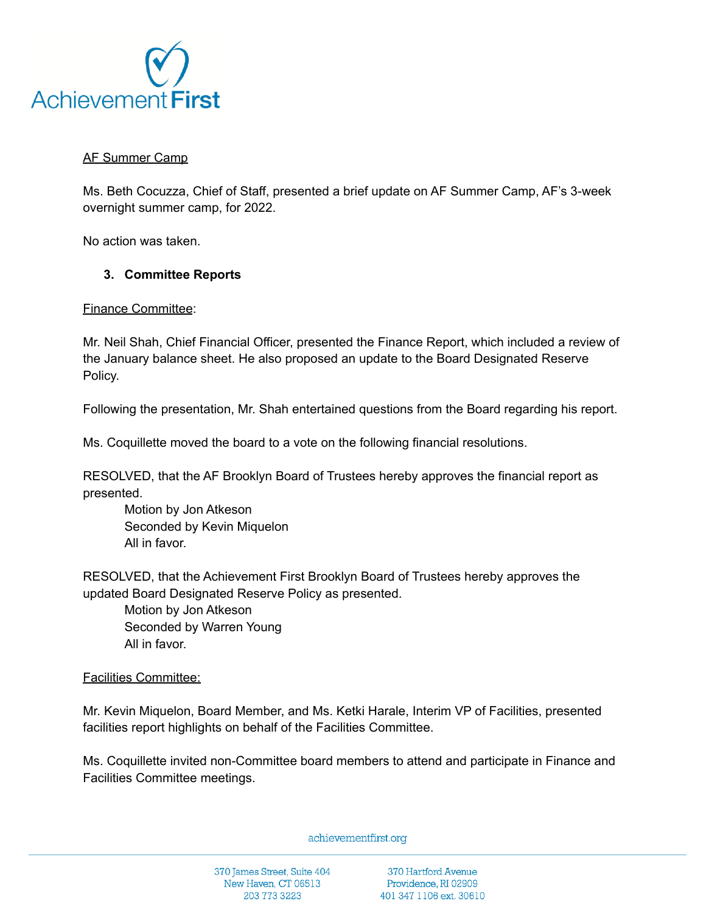

## AF Summer Camp

Ms. Beth Cocuzza, Chief of Staff, presented a brief update on AF Summer Camp, AF's 3-week overnight summer camp, for 2022.

No action was taken.

### **3. Committee Reports**

Finance Committee:

Mr. Neil Shah, Chief Financial Officer, presented the Finance Report, which included a review of the January balance sheet. He also proposed an update to the Board Designated Reserve Policy.

Following the presentation, Mr. Shah entertained questions from the Board regarding his report.

Ms. Coquillette moved the board to a vote on the following financial resolutions.

RESOLVED, that the AF Brooklyn Board of Trustees hereby approves the financial report as presented.

Motion by Jon Atkeson Seconded by Kevin Miquelon All in favor.

RESOLVED, that the Achievement First Brooklyn Board of Trustees hereby approves the updated Board Designated Reserve Policy as presented.

Motion by Jon Atkeson Seconded by Warren Young All in favor.

### Facilities Committee:

Mr. Kevin Miquelon, Board Member, and Ms. Ketki Harale, Interim VP of Facilities, presented facilities report highlights on behalf of the Facilities Committee.

Ms. Coquillette invited non-Committee board members to attend and participate in Finance and Facilities Committee meetings.

achievementfirst.org

370 James Street, Suite 404 New Haven, CT 06513 203 773 3223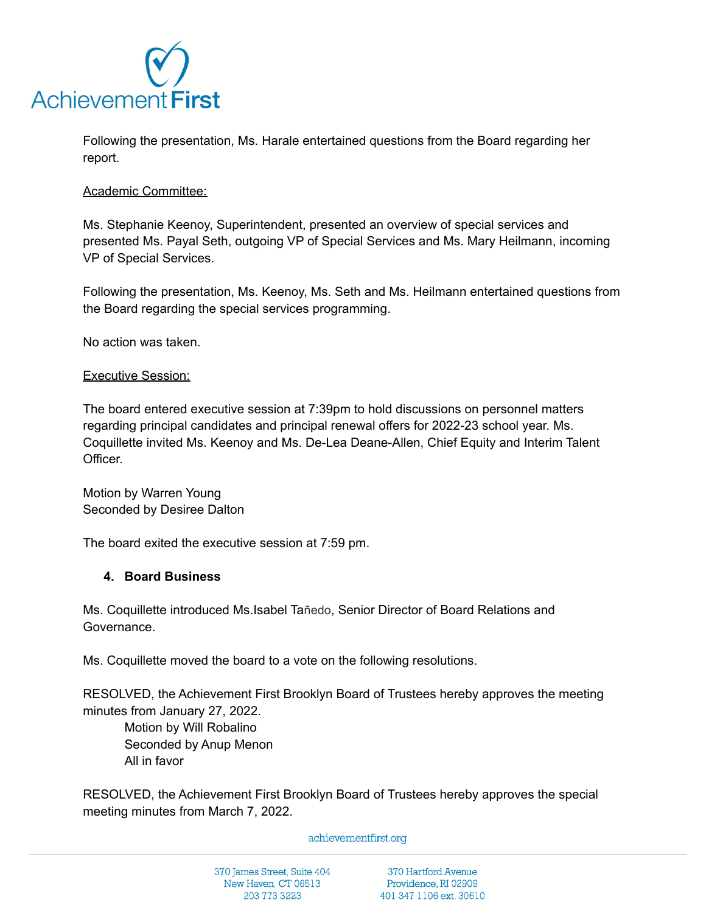

Following the presentation, Ms. Harale entertained questions from the Board regarding her report.

#### Academic Committee:

Ms. Stephanie Keenoy, Superintendent, presented an overview of special services and presented Ms. Payal Seth, outgoing VP of Special Services and Ms. Mary Heilmann, incoming VP of Special Services.

Following the presentation, Ms. Keenoy, Ms. Seth and Ms. Heilmann entertained questions from the Board regarding the special services programming.

No action was taken.

#### Executive Session:

The board entered executive session at 7:39pm to hold discussions on personnel matters regarding principal candidates and principal renewal offers for 2022-23 school year. Ms. Coquillette invited Ms. Keenoy and Ms. De-Lea Deane-Allen, Chief Equity and Interim Talent **Officer** 

Motion by Warren Young Seconded by Desiree Dalton

The board exited the executive session at 7:59 pm.

### **4. Board Business**

Ms. Coquillette introduced Ms.Isabel Tañedo, Senior Director of Board Relations and Governance.

Ms. Coquillette moved the board to a vote on the following resolutions.

RESOLVED, the Achievement First Brooklyn Board of Trustees hereby approves the meeting minutes from January 27, 2022.

Motion by Will Robalino Seconded by Anup Menon All in favor

RESOLVED, the Achievement First Brooklyn Board of Trustees hereby approves the special meeting minutes from March 7, 2022.

achievementfirst.org

370 James Street, Suite 404 New Haven, CT 06513 203 773 3223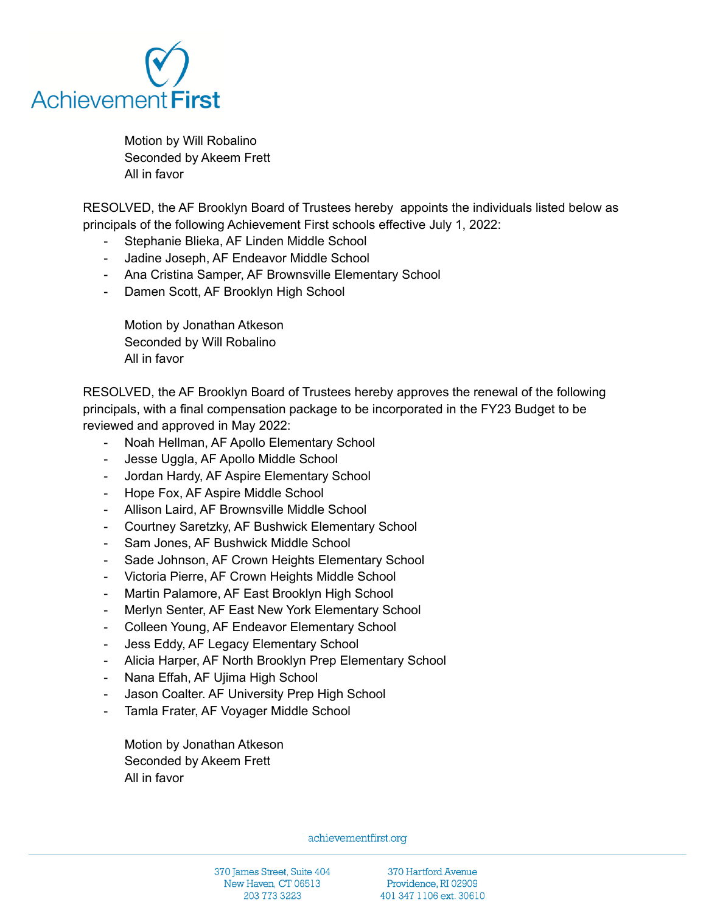

Motion by Will Robalino Seconded by Akeem Frett All in favor

RESOLVED, the AF Brooklyn Board of Trustees hereby appoints the individuals listed below as principals of the following Achievement First schools effective July 1, 2022:

- Stephanie Blieka, AF Linden Middle School
- Jadine Joseph, AF Endeavor Middle School
- Ana Cristina Samper, AF Brownsville Elementary School
- Damen Scott, AF Brooklyn High School

Motion by Jonathan Atkeson Seconded by Will Robalino All in favor

RESOLVED, the AF Brooklyn Board of Trustees hereby approves the renewal of the following principals, with a final compensation package to be incorporated in the FY23 Budget to be reviewed and approved in May 2022:

- Noah Hellman, AF Apollo Elementary School
- Jesse Uggla, AF Apollo Middle School
- Jordan Hardy, AF Aspire Elementary School
- Hope Fox, AF Aspire Middle School
- Allison Laird, AF Brownsville Middle School
- Courtney Saretzky, AF Bushwick Elementary School
- Sam Jones, AF Bushwick Middle School
- Sade Johnson, AF Crown Heights Elementary School
- Victoria Pierre, AF Crown Heights Middle School
- Martin Palamore, AF East Brooklyn High School
- Merlyn Senter, AF East New York Elementary School
- Colleen Young, AF Endeavor Elementary School
- Jess Eddy, AF Legacy Elementary School
- Alicia Harper, AF North Brooklyn Prep Elementary School
- Nana Effah, AF Ujima High School
- Jason Coalter. AF University Prep High School
- Tamla Frater, AF Voyager Middle School

Motion by Jonathan Atkeson Seconded by Akeem Frett All in favor

achievementfirst.org